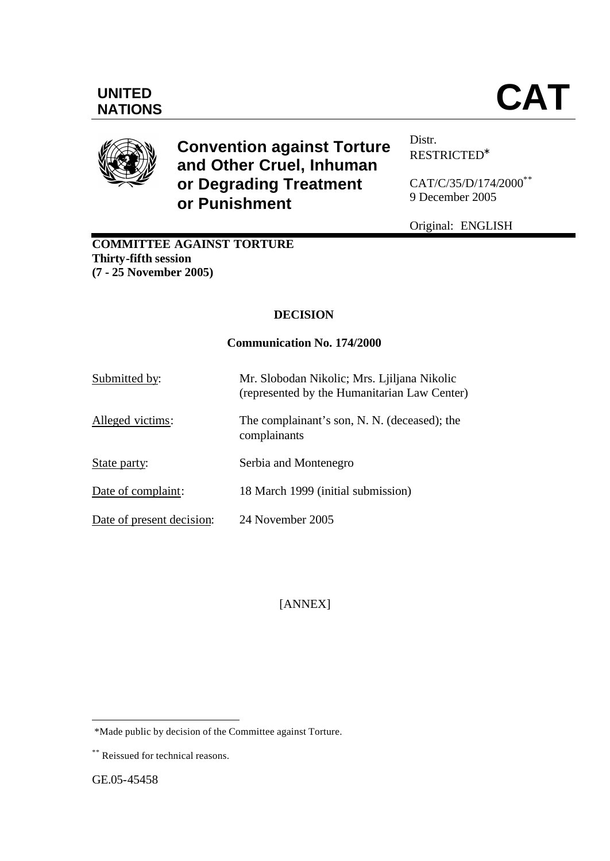# **UNITED**



# **Convention against Torture and Other Cruel, Inhuman or Degrading Treatment or Punishment**

Distr. RESTRICTED<sup>∗</sup>

CAT/C/35/D/174/2000\*\* 9 December 2005

Original: ENGLISH

### **COMMITTEE AGAINST TORTURE Thirty-fifth session (7 - 25 November 2005)**

# **DECISION**

#### **Communication No. 174/2000**

| Submitted by:             | Mr. Slobodan Nikolic; Mrs. Ljiljana Nikolic<br>(represented by the Humanitarian Law Center) |
|---------------------------|---------------------------------------------------------------------------------------------|
| Alleged victims:          | The complainant's son, N. N. (deceased); the<br>complainants                                |
| State party:              | Serbia and Montenegro                                                                       |
| Date of complaint:        | 18 March 1999 (initial submission)                                                          |
| Date of present decision: | 24 November 2005                                                                            |

[ANNEX]

l

 <sup>\*</sup>Made public by decision of the Committee against Torture.

<sup>\*\*</sup> Reissued for technical reasons.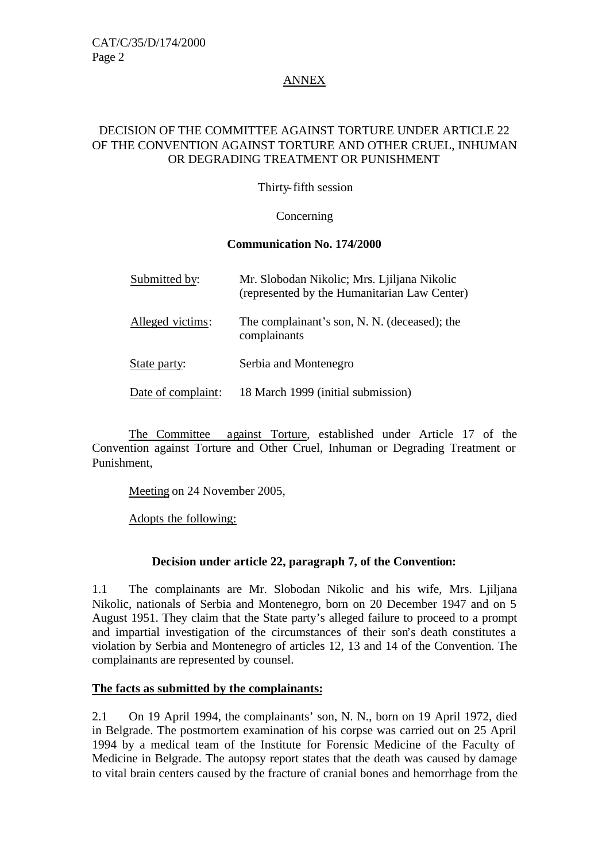#### ANNEX

#### DECISION OF THE COMMITTEE AGAINST TORTURE UNDER ARTICLE 22 OF THE CONVENTION AGAINST TORTURE AND OTHER CRUEL, INHUMAN OR DEGRADING TREATMENT OR PUNISHMENT

Thirty-fifth session

**Concerning** 

#### **Communication No. 174/2000**

| Submitted by:      | Mr. Slobodan Nikolic; Mrs. Ljiljana Nikolic<br>(represented by the Humanitarian Law Center) |
|--------------------|---------------------------------------------------------------------------------------------|
| Alleged victims:   | The complainant's son, N. N. (deceased); the<br>complainants                                |
| State party:       | Serbia and Montenegro                                                                       |
| Date of complaint: | 18 March 1999 (initial submission)                                                          |

The Committee against Torture, established under Article 17 of the Convention against Torture and Other Cruel, Inhuman or Degrading Treatment or Punishment,

Meeting on 24 November 2005,

Adopts the following:

#### **Decision under article 22, paragraph 7, of the Convention:**

1.1 The complainants are Mr. Slobodan Nikolic and his wife, Mrs. Ljiljana Nikolic, nationals of Serbia and Montenegro, born on 20 December 1947 and on 5 August 1951. They claim that the State party's alleged failure to proceed to a prompt and impartial investigation of the circumstances of their son's death constitutes a violation by Serbia and Montenegro of articles 12, 13 and 14 of the Convention. The complainants are represented by counsel.

#### **The facts as submitted by the complainants:**

2.1 On 19 April 1994, the complainants' son, N. N., born on 19 April 1972, died in Belgrade. The postmortem examination of his corpse was carried out on 25 April 1994 by a medical team of the Institute for Forensic Medicine of the Faculty of Medicine in Belgrade. The autopsy report states that the death was caused by damage to vital brain centers caused by the fracture of cranial bones and hemorrhage from the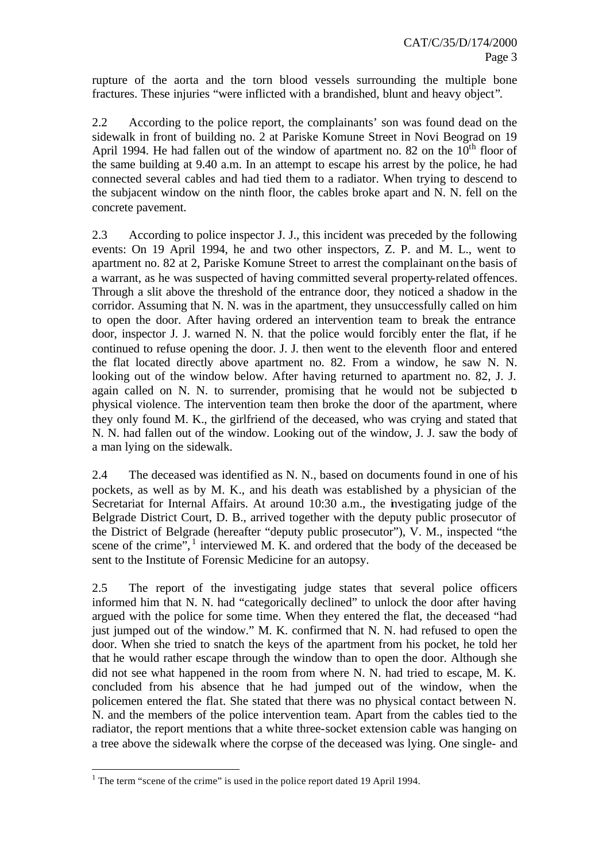rupture of the aorta and the torn blood vessels surrounding the multiple bone fractures. These injuries "were inflicted with a brandished, blunt and heavy object".

2.2 According to the police report, the complainants' son was found dead on the sidewalk in front of building no. 2 at Pariske Komune Street in Novi Beograd on 19 April 1994. He had fallen out of the window of apartment no. 82 on the  $10^{th}$  floor of the same building at 9.40 a.m. In an attempt to escape his arrest by the police, he had connected several cables and had tied them to a radiator. When trying to descend to the subjacent window on the ninth floor, the cables broke apart and N. N. fell on the concrete pavement.

2.3 According to police inspector J. J., this incident was preceded by the following events: On 19 April 1994, he and two other inspectors, Z. P. and M. L., went to apartment no. 82 at 2, Pariske Komune Street to arrest the complainant on the basis of a warrant, as he was suspected of having committed several property-related offences. Through a slit above the threshold of the entrance door, they noticed a shadow in the corridor. Assuming that N. N. was in the apartment, they unsuccessfully called on him to open the door. After having ordered an intervention team to break the entrance door, inspector J. J. warned N. N. that the police would forcibly enter the flat, if he continued to refuse opening the door. J. J. then went to the eleventh floor and entered the flat located directly above apartment no. 82. From a window, he saw N. N. looking out of the window below. After having returned to apartment no. 82, J. J. again called on N. N. to surrender, promising that he would not be subjected to physical violence. The intervention team then broke the door of the apartment, where they only found M. K., the girlfriend of the deceased, who was crying and stated that N. N. had fallen out of the window. Looking out of the window, J. J. saw the body of a man lying on the sidewalk.

2.4 The deceased was identified as N. N., based on documents found in one of his pockets, as well as by M. K., and his death was established by a physician of the Secretariat for Internal Affairs. At around 10:30 a.m., the investigating judge of the Belgrade District Court, D. B., arrived together with the deputy public prosecutor of the District of Belgrade (hereafter "deputy public prosecutor"), V. M., inspected "the scene of the crime",<sup>1</sup> interviewed M. K. and ordered that the body of the deceased be sent to the Institute of Forensic Medicine for an autopsy.

2.5 The report of the investigating judge states that several police officers informed him that N. N. had "categorically declined" to unlock the door after having argued with the police for some time. When they entered the flat, the deceased "had just jumped out of the window." M. K. confirmed that N. N. had refused to open the door. When she tried to snatch the keys of the apartment from his pocket, he told her that he would rather escape through the window than to open the door. Although she did not see what happened in the room from where N. N. had tried to escape, M. K. concluded from his absence that he had jumped out of the window, when the policemen entered the flat. She stated that there was no physical contact between N. N. and the members of the police intervention team. Apart from the cables tied to the radiator, the report mentions that a white three-socket extension cable was hanging on a tree above the sidewalk where the corpse of the deceased was lying. One single- and

l <sup>1</sup> The term "scene of the crime" is used in the police report dated 19 April 1994.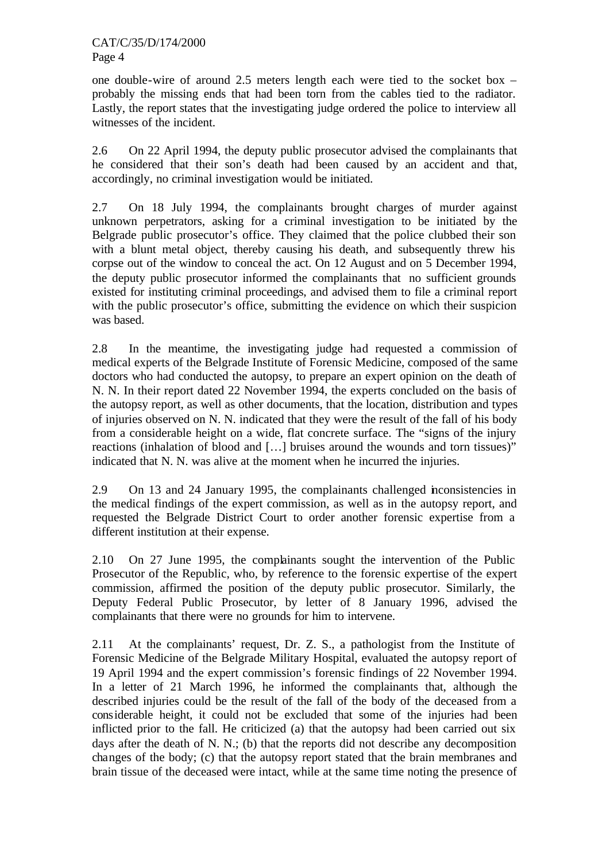one double-wire of around 2.5 meters length each were tied to the socket box – probably the missing ends that had been torn from the cables tied to the radiator. Lastly, the report states that the investigating judge ordered the police to interview all witnesses of the incident.

2.6 On 22 April 1994, the deputy public prosecutor advised the complainants that he considered that their son's death had been caused by an accident and that, accordingly, no criminal investigation would be initiated.

2.7 On 18 July 1994, the complainants brought charges of murder against unknown perpetrators, asking for a criminal investigation to be initiated by the Belgrade public prosecutor's office. They claimed that the police clubbed their son with a blunt metal object, thereby causing his death, and subsequently threw his corpse out of the window to conceal the act. On 12 August and on 5 December 1994, the deputy public prosecutor informed the complainants that no sufficient grounds existed for instituting criminal proceedings, and advised them to file a criminal report with the public prosecutor's office, submitting the evidence on which their suspicion was based.

2.8 In the meantime, the investigating judge had requested a commission of medical experts of the Belgrade Institute of Forensic Medicine, composed of the same doctors who had conducted the autopsy, to prepare an expert opinion on the death of N. N. In their report dated 22 November 1994, the experts concluded on the basis of the autopsy report, as well as other documents, that the location, distribution and types of injuries observed on N. N. indicated that they were the result of the fall of his body from a considerable height on a wide, flat concrete surface. The "signs of the injury reactions (inhalation of blood and […] bruises around the wounds and torn tissues)" indicated that N. N. was alive at the moment when he incurred the injuries.

2.9 On 13 and 24 January 1995, the complainants challenged inconsistencies in the medical findings of the expert commission, as well as in the autopsy report, and requested the Belgrade District Court to order another forensic expertise from a different institution at their expense.

2.10 On 27 June 1995, the complainants sought the intervention of the Public Prosecutor of the Republic, who, by reference to the forensic expertise of the expert commission, affirmed the position of the deputy public prosecutor. Similarly, the Deputy Federal Public Prosecutor, by letter of 8 January 1996, advised the complainants that there were no grounds for him to intervene.

2.11 At the complainants' request, Dr. Z. S., a pathologist from the Institute of Forensic Medicine of the Belgrade Military Hospital, evaluated the autopsy report of 19 April 1994 and the expert commission's forensic findings of 22 November 1994. In a letter of 21 March 1996, he informed the complainants that, although the described injuries could be the result of the fall of the body of the deceased from a considerable height, it could not be excluded that some of the injuries had been inflicted prior to the fall. He criticized (a) that the autopsy had been carried out six days after the death of N. N.; (b) that the reports did not describe any decomposition changes of the body; (c) that the autopsy report stated that the brain membranes and brain tissue of the deceased were intact, while at the same time noting the presence of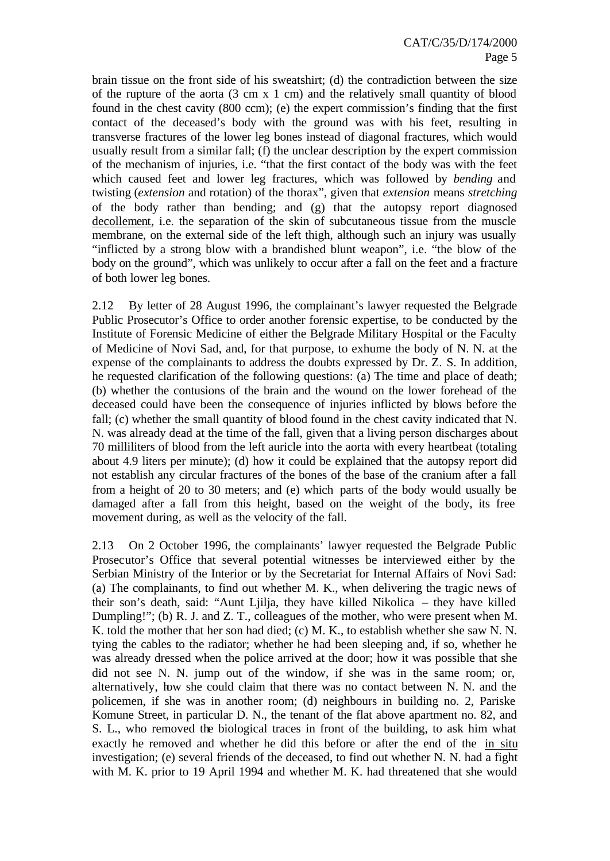brain tissue on the front side of his sweatshirt; (d) the contradiction between the size of the rupture of the aorta (3 cm x 1 cm) and the relatively small quantity of blood found in the chest cavity (800 ccm); (e) the expert commission's finding that the first contact of the deceased's body with the ground was with his feet, resulting in transverse fractures of the lower leg bones instead of diagonal fractures, which would usually result from a similar fall; (f) the unclear description by the expert commission of the mechanism of injuries, i.e. "that the first contact of the body was with the feet which caused feet and lower leg fractures, which was followed by *bending* and twisting (*extension* and rotation) of the thorax", given that *extension* means *stretching* of the body rather than bending; and (g) that the autopsy report diagnosed decollement, i.e. the separation of the skin of subcutaneous tissue from the muscle membrane, on the external side of the left thigh, although such an injury was usually "inflicted by a strong blow with a brandished blunt weapon", i.e. "the blow of the body on the ground", which was unlikely to occur after a fall on the feet and a fracture of both lower leg bones.

2.12 By letter of 28 August 1996, the complainant's lawyer requested the Belgrade Public Prosecutor's Office to order another forensic expertise, to be conducted by the Institute of Forensic Medicine of either the Belgrade Military Hospital or the Faculty of Medicine of Novi Sad, and, for that purpose, to exhume the body of N. N. at the expense of the complainants to address the doubts expressed by Dr. Z. S. In addition, he requested clarification of the following questions: (a) The time and place of death; (b) whether the contusions of the brain and the wound on the lower forehead of the deceased could have been the consequence of injuries inflicted by blows before the fall; (c) whether the small quantity of blood found in the chest cavity indicated that N. N. was already dead at the time of the fall, given that a living person discharges about 70 milliliters of blood from the left auricle into the aorta with every heartbeat (totaling about 4.9 liters per minute); (d) how it could be explained that the autopsy report did not establish any circular fractures of the bones of the base of the cranium after a fall from a height of 20 to 30 meters; and (e) which parts of the body would usually be damaged after a fall from this height, based on the weight of the body, its free movement during, as well as the velocity of the fall.

2.13 On 2 October 1996, the complainants' lawyer requested the Belgrade Public Prosecutor's Office that several potential witnesses be interviewed either by the Serbian Ministry of the Interior or by the Secretariat for Internal Affairs of Novi Sad: (a) The complainants, to find out whether M. K., when delivering the tragic news of their son's death, said: "Aunt Ljilja, they have killed Nikolica – they have killed Dumpling!"; (b) R. J. and Z. T., colleagues of the mother, who were present when M. K. told the mother that her son had died; (c) M. K., to establish whether she saw N. N. tying the cables to the radiator; whether he had been sleeping and, if so, whether he was already dressed when the police arrived at the door; how it was possible that she did not see N. N. jump out of the window, if she was in the same room; or, alternatively, how she could claim that there was no contact between N. N. and the policemen, if she was in another room; (d) neighbours in building no. 2, Pariske Komune Street, in particular D. N., the tenant of the flat above apartment no. 82, and S. L., who removed the biological traces in front of the building, to ask him what exactly he removed and whether he did this before or after the end of the in situ investigation; (e) several friends of the deceased, to find out whether N. N. had a fight with M. K. prior to 19 April 1994 and whether M. K. had threatened that she would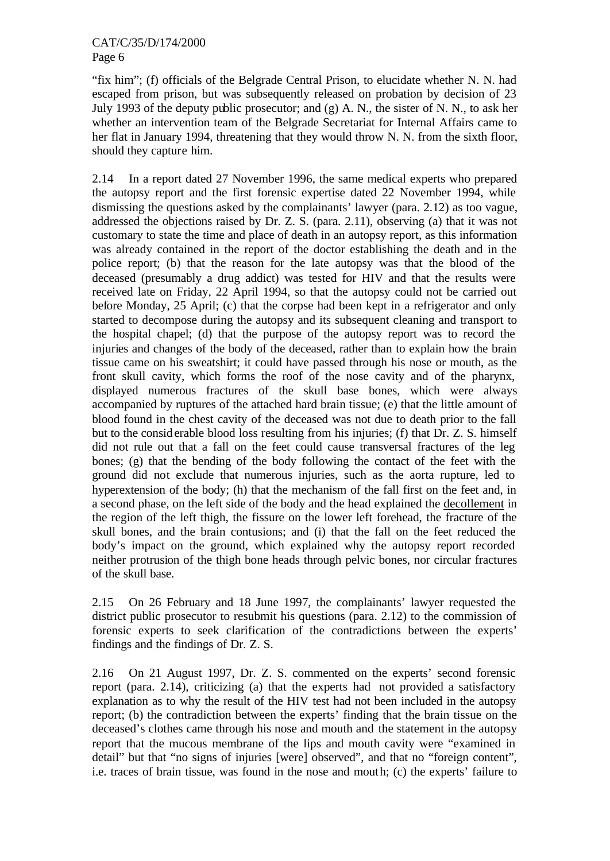"fix him"; (f) officials of the Belgrade Central Prison, to elucidate whether N. N. had escaped from prison, but was subsequently released on probation by decision of 23 July 1993 of the deputy public prosecutor; and (g) A. N., the sister of N. N., to ask her whether an intervention team of the Belgrade Secretariat for Internal Affairs came to her flat in January 1994, threatening that they would throw N. N. from the sixth floor, should they capture him.

2.14 In a report dated 27 November 1996, the same medical experts who prepared the autopsy report and the first forensic expertise dated 22 November 1994, while dismissing the questions asked by the complainants' lawyer (para. 2.12) as too vague, addressed the objections raised by Dr. Z. S. (para. 2.11), observing (a) that it was not customary to state the time and place of death in an autopsy report, as this information was already contained in the report of the doctor establishing the death and in the police report; (b) that the reason for the late autopsy was that the blood of the deceased (presumably a drug addict) was tested for HIV and that the results were received late on Friday, 22 April 1994, so that the autopsy could not be carried out before Monday, 25 April; (c) that the corpse had been kept in a refrigerator and only started to decompose during the autopsy and its subsequent cleaning and transport to the hospital chapel; (d) that the purpose of the autopsy report was to record the injuries and changes of the body of the deceased, rather than to explain how the brain tissue came on his sweatshirt; it could have passed through his nose or mouth, as the front skull cavity, which forms the roof of the nose cavity and of the pharynx, displayed numerous fractures of the skull base bones, which were always accompanied by ruptures of the attached hard brain tissue; (e) that the little amount of blood found in the chest cavity of the deceased was not due to death prior to the fall but to the considerable blood loss resulting from his injuries; (f) that Dr. Z. S. himself did not rule out that a fall on the feet could cause transversal fractures of the leg bones; (g) that the bending of the body following the contact of the feet with the ground did not exclude that numerous injuries, such as the aorta rupture, led to hyperextension of the body; (h) that the mechanism of the fall first on the feet and, in a second phase, on the left side of the body and the head explained the decollement in the region of the left thigh, the fissure on the lower left forehead, the fracture of the skull bones, and the brain contusions; and (i) that the fall on the feet reduced the body's impact on the ground, which explained why the autopsy report recorded neither protrusion of the thigh bone heads through pelvic bones, nor circular fractures of the skull base.

2.15 On 26 February and 18 June 1997, the complainants' lawyer requested the district public prosecutor to resubmit his questions (para. 2.12) to the commission of forensic experts to seek clarification of the contradictions between the experts' findings and the findings of Dr. Z. S.

2.16 On 21 August 1997, Dr. Z. S. commented on the experts' second forensic report (para. 2.14), criticizing (a) that the experts had not provided a satisfactory explanation as to why the result of the HIV test had not been included in the autopsy report; (b) the contradiction between the experts' finding that the brain tissue on the deceased's clothes came through his nose and mouth and the statement in the autopsy report that the mucous membrane of the lips and mouth cavity were "examined in detail" but that "no signs of injuries [were] observed", and that no "foreign content", i.e. traces of brain tissue, was found in the nose and mouth; (c) the experts' failure to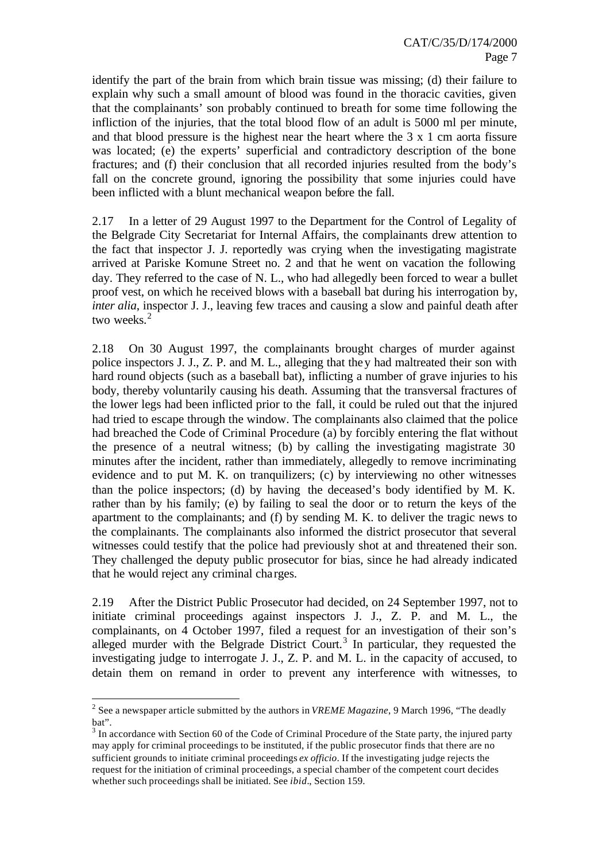identify the part of the brain from which brain tissue was missing; (d) their failure to explain why such a small amount of blood was found in the thoracic cavities, given that the complainants' son probably continued to breath for some time following the infliction of the injuries, that the total blood flow of an adult is 5000 ml per minute, and that blood pressure is the highest near the heart where the 3 x 1 cm aorta fissure was located; (e) the experts' superficial and contradictory description of the bone fractures; and (f) their conclusion that all recorded injuries resulted from the body's fall on the concrete ground, ignoring the possibility that some injuries could have been inflicted with a blunt mechanical weapon before the fall.

2.17 In a letter of 29 August 1997 to the Department for the Control of Legality of the Belgrade City Secretariat for Internal Affairs, the complainants drew attention to the fact that inspector J. J. reportedly was crying when the investigating magistrate arrived at Pariske Komune Street no. 2 and that he went on vacation the following day. They referred to the case of N. L., who had allegedly been forced to wear a bullet proof vest, on which he received blows with a baseball bat during his interrogation by, *inter alia*, inspector J. J., leaving few traces and causing a slow and painful death after two weeks<sup>2</sup>

2.18 On 30 August 1997, the complainants brought charges of murder against police inspectors J. J., Z. P. and M. L., alleging that they had maltreated their son with hard round objects (such as a baseball bat), inflicting a number of grave injuries to his body, thereby voluntarily causing his death. Assuming that the transversal fractures of the lower legs had been inflicted prior to the fall, it could be ruled out that the injured had tried to escape through the window. The complainants also claimed that the police had breached the Code of Criminal Procedure (a) by forcibly entering the flat without the presence of a neutral witness; (b) by calling the investigating magistrate 30 minutes after the incident, rather than immediately, allegedly to remove incriminating evidence and to put M. K. on tranquilizers; (c) by interviewing no other witnesses than the police inspectors; (d) by having the deceased's body identified by M. K. rather than by his family; (e) by failing to seal the door or to return the keys of the apartment to the complainants; and (f) by sending M. K. to deliver the tragic news to the complainants. The complainants also informed the district prosecutor that several witnesses could testify that the police had previously shot at and threatened their son. They challenged the deputy public prosecutor for bias, since he had already indicated that he would reject any criminal cha rges.

2.19 After the District Public Prosecutor had decided, on 24 September 1997, not to initiate criminal proceedings against inspectors J. J., Z. P. and M. L., the complainants, on 4 October 1997, filed a request for an investigation of their son's alleged murder with the Belgrade District Court.<sup>3</sup> In particular, they requested the investigating judge to interrogate J. J., Z. P. and M. L. in the capacity of accused, to detain them on remand in order to prevent any interference with witnesses, to

l

<sup>2</sup> See a newspaper article submitted by the authors in *VREME Magazine*, 9 March 1996, "The deadly bat".

 $3 \text{ In accordance with Section 60 of the Code of Criminal Procedure of the State party, the injured party.}$ may apply for criminal proceedings to be instituted, if the public prosecutor finds that there are no sufficient grounds to initiate criminal proceedings *ex officio*. If the investigating judge rejects the request for the initiation of criminal proceedings, a special chamber of the competent court decides whether such proceedings shall be initiated. See *ibid.*, Section 159.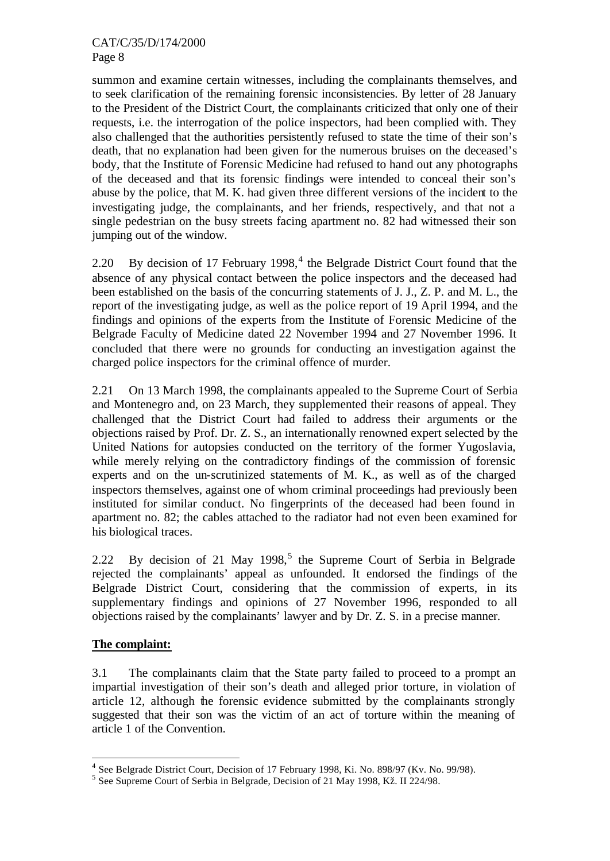#### CAT/C/35/D/174/2000 Page 8

summon and examine certain witnesses, including the complainants themselves, and to seek clarification of the remaining forensic inconsistencies. By letter of 28 January to the President of the District Court, the complainants criticized that only one of their requests, i.e. the interrogation of the police inspectors, had been complied with. They also challenged that the authorities persistently refused to state the time of their son's death, that no explanation had been given for the numerous bruises on the deceased's body, that the Institute of Forensic Medicine had refused to hand out any photographs of the deceased and that its forensic findings were intended to conceal their son's abuse by the police, that M. K. had given three different versions of the incident to the investigating judge, the complainants, and her friends, respectively, and that not a single pedestrian on the busy streets facing apartment no. 82 had witnessed their son jumping out of the window.

2.20 By decision of 17 February 1998,<sup>4</sup> the Belgrade District Court found that the absence of any physical contact between the police inspectors and the deceased had been established on the basis of the concurring statements of J. J., Z. P. and M. L., the report of the investigating judge, as well as the police report of 19 April 1994, and the findings and opinions of the experts from the Institute of Forensic Medicine of the Belgrade Faculty of Medicine dated 22 November 1994 and 27 November 1996. It concluded that there were no grounds for conducting an investigation against the charged police inspectors for the criminal offence of murder.

2.21 On 13 March 1998, the complainants appealed to the Supreme Court of Serbia and Montenegro and, on 23 March, they supplemented their reasons of appeal. They challenged that the District Court had failed to address their arguments or the objections raised by Prof. Dr. Z. S., an internationally renowned expert selected by the United Nations for autopsies conducted on the territory of the former Yugoslavia, while merely relying on the contradictory findings of the commission of forensic experts and on the un-scrutinized statements of M. K., as well as of the charged inspectors themselves, against one of whom criminal proceedings had previously been instituted for similar conduct. No fingerprints of the deceased had been found in apartment no. 82; the cables attached to the radiator had not even been examined for his biological traces.

2.22 By decision of 21 May 1998,<sup>5</sup> the Supreme Court of Serbia in Belgrade rejected the complainants' appeal as unfounded. It endorsed the findings of the Belgrade District Court, considering that the commission of experts, in its supplementary findings and opinions of 27 November 1996, responded to all objections raised by the complainants' lawyer and by Dr. Z. S. in a precise manner.

#### **The complaint:**

l

3.1 The complainants claim that the State party failed to proceed to a prompt an impartial investigation of their son's death and alleged prior torture, in violation of article 12, although the forensic evidence submitted by the complainants strongly suggested that their son was the victim of an act of torture within the meaning of article 1 of the Convention.

<sup>&</sup>lt;sup>4</sup> See Belgrade District Court, Decision of 17 February 1998, Ki. No. 898/97 (Kv. No. 99/98).

<sup>&</sup>lt;sup>5</sup> See Supreme Court of Serbia in Belgrade, Decision of 21 May 1998, Kž. II 224/98.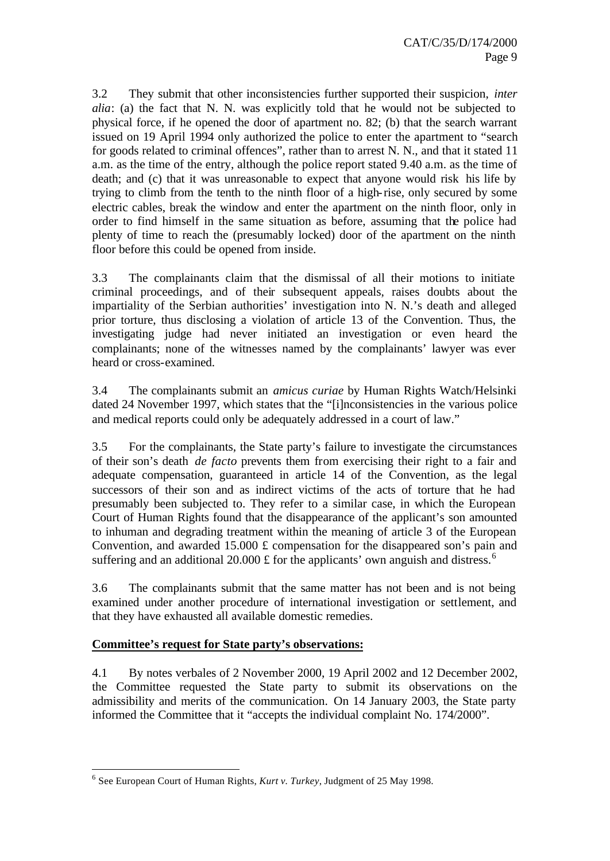3.2 They submit that other inconsistencies further supported their suspicion, *inter alia*: (a) the fact that N. N. was explicitly told that he would not be subjected to physical force, if he opened the door of apartment no. 82; (b) that the search warrant issued on 19 April 1994 only authorized the police to enter the apartment to "search for goods related to criminal offences", rather than to arrest N. N., and that it stated 11 a.m. as the time of the entry, although the police report stated 9.40 a.m. as the time of death; and (c) that it was unreasonable to expect that anyone would risk his life by trying to climb from the tenth to the ninth floor of a high-rise, only secured by some electric cables, break the window and enter the apartment on the ninth floor, only in order to find himself in the same situation as before, assuming that the police had plenty of time to reach the (presumably locked) door of the apartment on the ninth floor before this could be opened from inside.

3.3 The complainants claim that the dismissal of all their motions to initiate criminal proceedings, and of their subsequent appeals, raises doubts about the impartiality of the Serbian authorities' investigation into N. N.'s death and alleged prior torture, thus disclosing a violation of article 13 of the Convention. Thus, the investigating judge had never initiated an investigation or even heard the complainants; none of the witnesses named by the complainants' lawyer was ever heard or cross-examined.

3.4 The complainants submit an *amicus curiae* by Human Rights Watch/Helsinki dated 24 November 1997, which states that the "[i]nconsistencies in the various police and medical reports could only be adequately addressed in a court of law."

3.5 For the complainants, the State party's failure to investigate the circumstances of their son's death *de facto* prevents them from exercising their right to a fair and adequate compensation, guaranteed in article 14 of the Convention, as the legal successors of their son and as indirect victims of the acts of torture that he had presumably been subjected to. They refer to a similar case, in which the European Court of Human Rights found that the disappearance of the applicant's son amounted to inhuman and degrading treatment within the meaning of article 3 of the European Convention, and awarded 15.000  $\pounds$  compensation for the disappeared son's pain and suffering and an additional 20.000  $\pounds$  for the applicants' own anguish and distress.<sup>6</sup>

3.6 The complainants submit that the same matter has not been and is not being examined under another procedure of international investigation or settlement, and that they have exhausted all available domestic remedies.

#### **Committee's request for State party's observations:**

4.1 By notes verbales of 2 November 2000, 19 April 2002 and 12 December 2002, the Committee requested the State party to submit its observations on the admissibility and merits of the communication. On 14 January 2003, the State party informed the Committee that it "accepts the individual complaint No. 174/2000".

l 6 See European Court of Human Rights, *Kurt v. Turkey*, Judgment of 25 May 1998.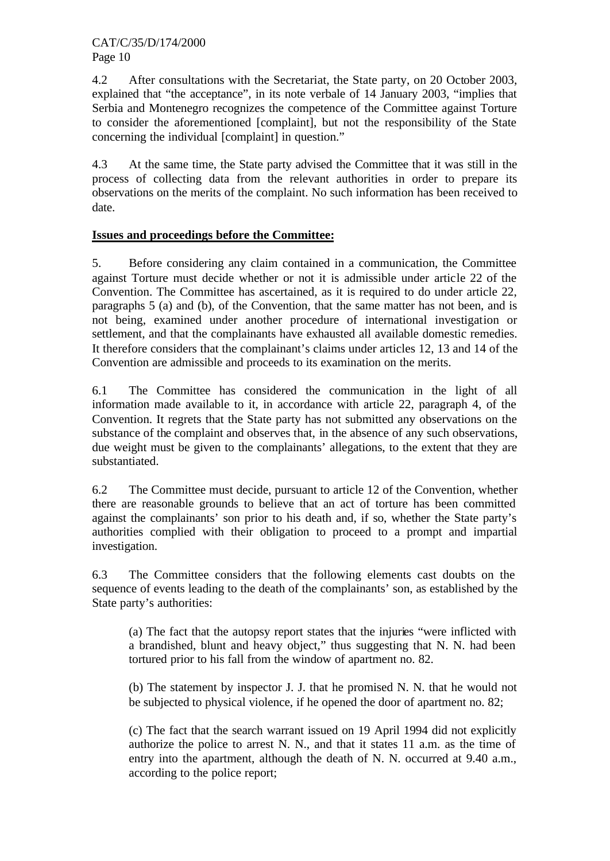4.2 After consultations with the Secretariat, the State party, on 20 October 2003, explained that "the acceptance", in its note verbale of 14 January 2003, "implies that Serbia and Montenegro recognizes the competence of the Committee against Torture to consider the aforementioned [complaint], but not the responsibility of the State concerning the individual [complaint] in question."

4.3 At the same time, the State party advised the Committee that it was still in the process of collecting data from the relevant authorities in order to prepare its observations on the merits of the complaint. No such information has been received to date.

## **Issues and proceedings before the Committee:**

5. Before considering any claim contained in a communication, the Committee against Torture must decide whether or not it is admissible under article 22 of the Convention. The Committee has ascertained, as it is required to do under article 22, paragraphs 5 (a) and (b), of the Convention, that the same matter has not been, and is not being, examined under another procedure of international investigation or settlement, and that the complainants have exhausted all available domestic remedies. It therefore considers that the complainant's claims under articles 12, 13 and 14 of the Convention are admissible and proceeds to its examination on the merits.

6.1 The Committee has considered the communication in the light of all information made available to it, in accordance with article 22, paragraph 4, of the Convention. It regrets that the State party has not submitted any observations on the substance of the complaint and observes that, in the absence of any such observations, due weight must be given to the complainants' allegations, to the extent that they are substantiated.

6.2 The Committee must decide, pursuant to article 12 of the Convention, whether there are reasonable grounds to believe that an act of torture has been committed against the complainants' son prior to his death and, if so, whether the State party's authorities complied with their obligation to proceed to a prompt and impartial investigation.

6.3 The Committee considers that the following elements cast doubts on the sequence of events leading to the death of the complainants' son, as established by the State party's authorities:

(a) The fact that the autopsy report states that the injuries "were inflicted with a brandished, blunt and heavy object," thus suggesting that N. N. had been tortured prior to his fall from the window of apartment no. 82.

(b) The statement by inspector J. J. that he promised N. N. that he would not be subjected to physical violence, if he opened the door of apartment no. 82;

(c) The fact that the search warrant issued on 19 April 1994 did not explicitly authorize the police to arrest N. N., and that it states 11 a.m. as the time of entry into the apartment, although the death of N. N. occurred at 9.40 a.m., according to the police report;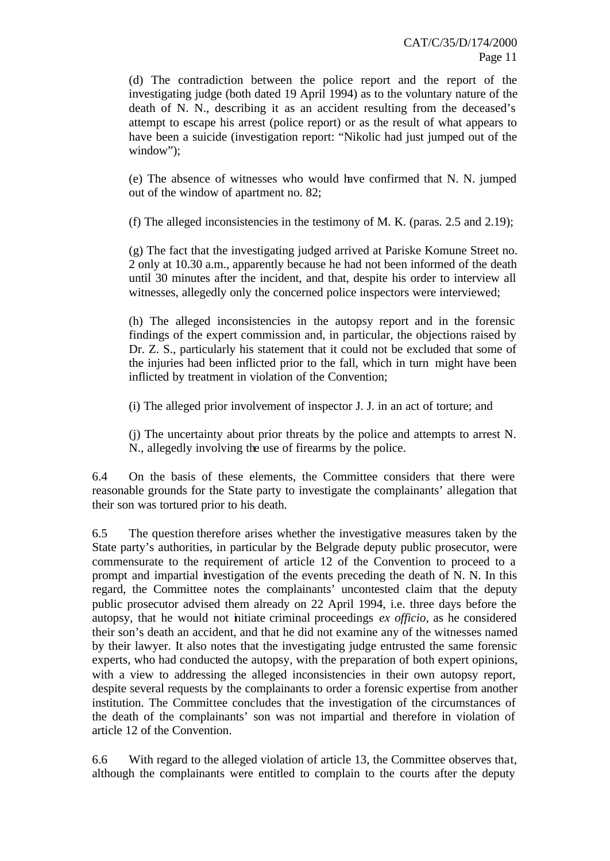(d) The contradiction between the police report and the report of the investigating judge (both dated 19 April 1994) as to the voluntary nature of the death of N. N., describing it as an accident resulting from the deceased's attempt to escape his arrest (police report) or as the result of what appears to have been a suicide (investigation report: "Nikolic had just jumped out of the window");

(e) The absence of witnesses who would have confirmed that N. N. jumped out of the window of apartment no. 82;

(f) The alleged inconsistencies in the testimony of M. K. (paras. 2.5 and 2.19);

(g) The fact that the investigating judged arrived at Pariske Komune Street no. 2 only at 10.30 a.m., apparently because he had not been informed of the death until 30 minutes after the incident, and that, despite his order to interview all witnesses, allegedly only the concerned police inspectors were interviewed;

(h) The alleged inconsistencies in the autopsy report and in the forensic findings of the expert commission and, in particular, the objections raised by Dr. Z. S., particularly his statement that it could not be excluded that some of the injuries had been inflicted prior to the fall, which in turn might have been inflicted by treatment in violation of the Convention;

(i) The alleged prior involvement of inspector J. J. in an act of torture; and

(j) The uncertainty about prior threats by the police and attempts to arrest N. N., allegedly involving the use of firearms by the police.

6.4 On the basis of these elements, the Committee considers that there were reasonable grounds for the State party to investigate the complainants' allegation that their son was tortured prior to his death.

6.5 The question therefore arises whether the investigative measures taken by the State party's authorities, in particular by the Belgrade deputy public prosecutor, were commensurate to the requirement of article 12 of the Convention to proceed to a prompt and impartial investigation of the events preceding the death of N. N. In this regard, the Committee notes the complainants' uncontested claim that the deputy public prosecutor advised them already on 22 April 1994, i.e. three days before the autopsy, that he would not initiate criminal proceedings *ex officio*, as he considered their son's death an accident, and that he did not examine any of the witnesses named by their lawyer. It also notes that the investigating judge entrusted the same forensic experts, who had conducted the autopsy, with the preparation of both expert opinions, with a view to addressing the alleged inconsistencies in their own autopsy report, despite several requests by the complainants to order a forensic expertise from another institution. The Committee concludes that the investigation of the circumstances of the death of the complainants' son was not impartial and therefore in violation of article 12 of the Convention.

6.6 With regard to the alleged violation of article 13, the Committee observes that, although the complainants were entitled to complain to the courts after the deputy